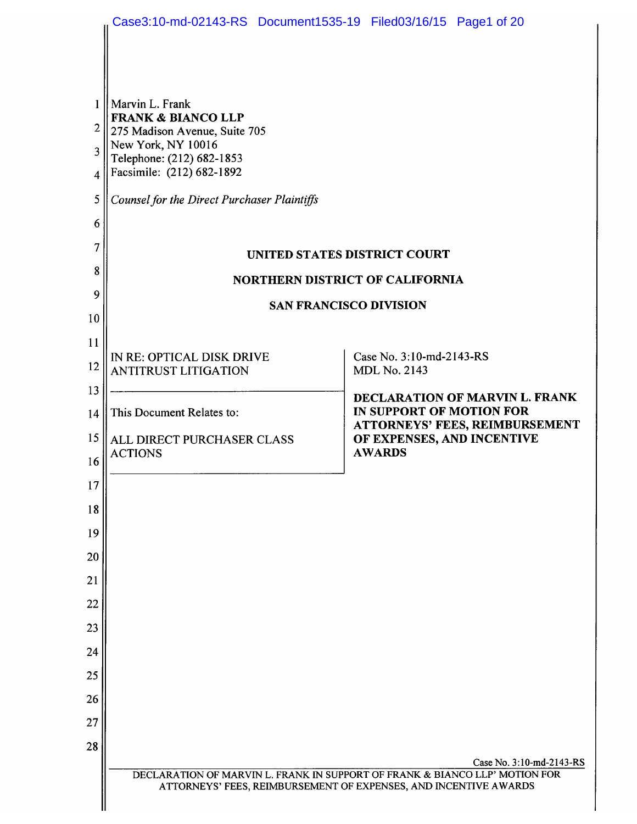|                | Case3:10-md-02143-RS Document1535-19 Filed03/16/15 Page1 of 20 |                                                                                                                                                 |  |
|----------------|----------------------------------------------------------------|-------------------------------------------------------------------------------------------------------------------------------------------------|--|
|                |                                                                |                                                                                                                                                 |  |
| 1              | Marvin L. Frank                                                |                                                                                                                                                 |  |
| 2              | <b>FRANK &amp; BIANCO LLP</b><br>275 Madison Avenue, Suite 705 |                                                                                                                                                 |  |
| 3              | New York, NY 10016<br>Telephone: (212) 682-1853                |                                                                                                                                                 |  |
| $\overline{4}$ | Facsimile: (212) 682-1892                                      |                                                                                                                                                 |  |
| 5              | <b>Counsel for the Direct Purchaser Plaintiffs</b>             |                                                                                                                                                 |  |
| 6              |                                                                |                                                                                                                                                 |  |
| 7              | UNITED STATES DISTRICT COURT                                   |                                                                                                                                                 |  |
| 8              | <b>NORTHERN DISTRICT OF CALIFORNIA</b>                         |                                                                                                                                                 |  |
| 9<br>10        | <b>SAN FRANCISCO DIVISION</b>                                  |                                                                                                                                                 |  |
| 11             |                                                                |                                                                                                                                                 |  |
| 12             | IN RE: OPTICAL DISK DRIVE                                      | Case No. 3:10-md-2143-RS                                                                                                                        |  |
| 13             | <b>ANTITRUST LITIGATION</b>                                    | <b>MDL No. 2143</b>                                                                                                                             |  |
| 14             | This Document Relates to:                                      | DECLARATION OF MARVIN L. FRANK<br>IN SUPPORT OF MOTION FOR                                                                                      |  |
| 15             | ALL DIRECT PURCHASER CLASS                                     | <b>ATTORNEYS' FEES, REIMBURSEMENT</b><br>OF EXPENSES, AND INCENTIVE                                                                             |  |
| 16             | <b>ACTIONS</b>                                                 | <b>AWARDS</b>                                                                                                                                   |  |
| 17             |                                                                |                                                                                                                                                 |  |
| 18             |                                                                |                                                                                                                                                 |  |
| 19             |                                                                |                                                                                                                                                 |  |
| 20             |                                                                |                                                                                                                                                 |  |
| 21             |                                                                |                                                                                                                                                 |  |
| 22             |                                                                |                                                                                                                                                 |  |
| 23             |                                                                |                                                                                                                                                 |  |
| 24             |                                                                |                                                                                                                                                 |  |
| 25             |                                                                |                                                                                                                                                 |  |
| 26             |                                                                |                                                                                                                                                 |  |
| 27<br>28       |                                                                |                                                                                                                                                 |  |
|                |                                                                | Case No. 3:10-md-2143-RS                                                                                                                        |  |
|                |                                                                | DECLARATION OF MARVIN L. FRANK IN SUPPORT OF FRANK & BIANCO LLP' MOTION FOR<br>ATTORNEYS' FEES, REIMBURSEMENT OF EXPENSES, AND INCENTIVE AWARDS |  |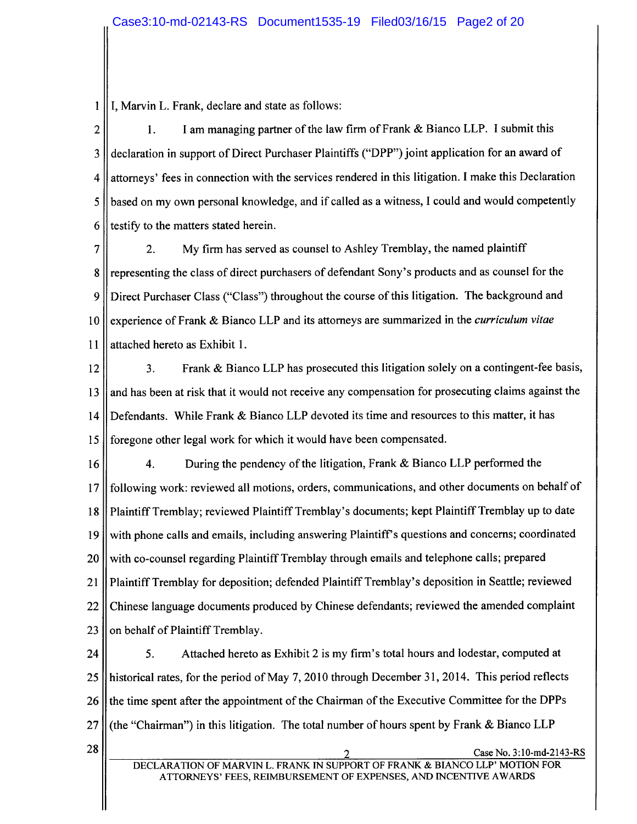$\mathbf{1}$ I, Marvin L. Frank, declare and state as follows:

 $\overline{2}$  $1.$ I am managing partner of the law firm of Frank & Bianco LLP. I submit this declaration in support of Direct Purchaser Plaintiffs ("DPP") joint application for an award of 3 attorneys' fees in connection with the services rendered in this litigation. I make this Declaration 4 based on my own personal knowledge, and if called as a witness, I could and would competently 5 testify to the matters stated herein. 6

 $2.$ My firm has served as counsel to Ashley Tremblay, the named plaintiff 7 representing the class of direct purchasers of defendant Sony's products and as counsel for the 8 Direct Purchaser Class ("Class") throughout the course of this litigation. The background and 9  $10$ experience of Frank & Bianco LLP and its attorneys are summarized in the *curriculum vitae* attached hereto as Exhibit 1. 11

 $\overline{3}$ . Frank & Bianco LLP has prosecuted this litigation solely on a contingent-fee basis,  $12$ and has been at risk that it would not receive any compensation for prosecuting claims against the 13 Defendants. While Frank & Bianco LLP devoted its time and resources to this matter, it has  $14$ foregone other legal work for which it would have been compensated. 15

 $4.$ During the pendency of the litigation, Frank & Bianco LLP performed the 16 following work: reviewed all motions, orders, communications, and other documents on behalf of  $17$ Plaintiff Tremblay; reviewed Plaintiff Tremblay's documents; kept Plaintiff Tremblay up to date 18 with phone calls and emails, including answering Plaintiff's questions and concerns; coordinated 19 with co-counsel regarding Plaintiff Tremblay through emails and telephone calls; prepared 20 Plaintiff Tremblay for deposition; defended Plaintiff Tremblay's deposition in Seattle; reviewed 21 Chinese language documents produced by Chinese defendants; reviewed the amended complaint 22 on behalf of Plaintiff Tremblay. 23

5. Attached hereto as Exhibit 2 is my firm's total hours and lodestar, computed at 24 historical rates, for the period of May 7, 2010 through December 31, 2014. This period reflects 25 the time spent after the appointment of the Chairman of the Executive Committee for the DPPs 26  $27$ (the "Chairman") in this litigation. The total number of hours spent by Frank & Bianco LLP 28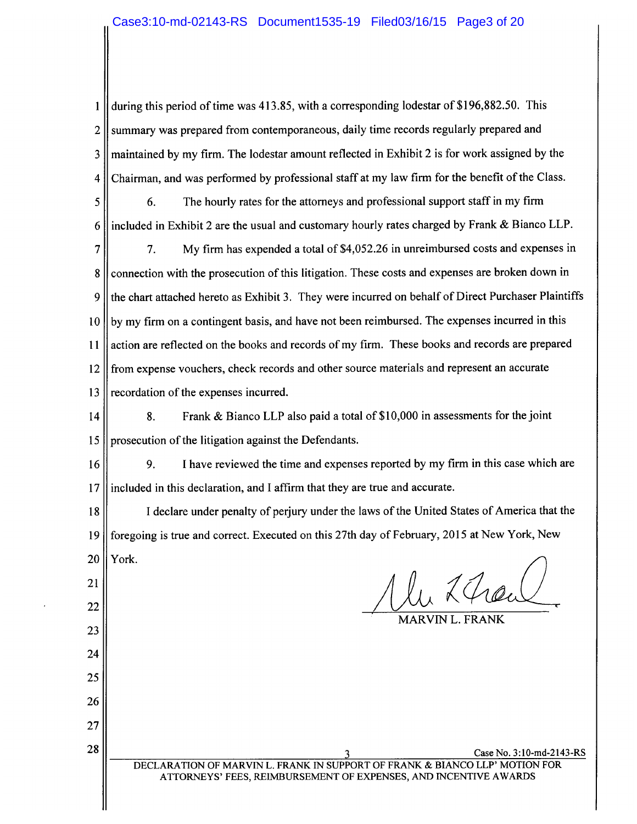$\mathbf{1}$ during this period of time was 413.85, with a corresponding lodestar of \$196,882.50. This summary was prepared from contemporaneous, daily time records regularly prepared and  $\overline{2}$ maintained by my firm. The lodestar amount reflected in Exhibit 2 is for work assigned by the 3 Chairman, and was performed by professional staff at my law firm for the benefit of the Class.  $\overline{4}$ 

The hourly rates for the attorneys and professional support staff in my firm 6. 5 included in Exhibit 2 are the usual and customary hourly rates charged by Frank & Bianco LLP. 6

 $\overline{7}$ My firm has expended a total of \$4,052.26 in unreimbursed costs and expenses in 7. connection with the prosecution of this litigation. These costs and expenses are broken down in 8 9 the chart attached hereto as Exhibit 3. They were incurred on behalf of Direct Purchaser Plaintiffs by my firm on a contingent basis, and have not been reimbursed. The expenses incurred in this  $10$ action are reflected on the books and records of my firm. These books and records are prepared  $11$ from expense vouchers, check records and other source materials and represent an accurate 12 recordation of the expenses incurred. 13

Frank & Bianco LLP also paid a total of \$10,000 in assessments for the joint 8. 14 15 prosecution of the litigation against the Defendants.

I have reviewed the time and expenses reported by my firm in this case which are 16 9. included in this declaration, and I affirm that they are true and accurate.  $17$ 

I declare under penalty of perjury under the laws of the United States of America that the 18 foregoing is true and correct. Executed on this 27th day of February, 2015 at New York, New 19 York. 20

21

22

23

24

25

26

27

28

MARVIN L. FRANK

Case No. 3:10-md-2143-RS DECLARATION OF MARVIN L. FRANK IN SUPPORT OF FRANK & BIANCO LLP' MOTION FOR ATTORNEYS' FEES, REIMBURSEMENT OF EXPENSES, AND INCENTIVE AWARDS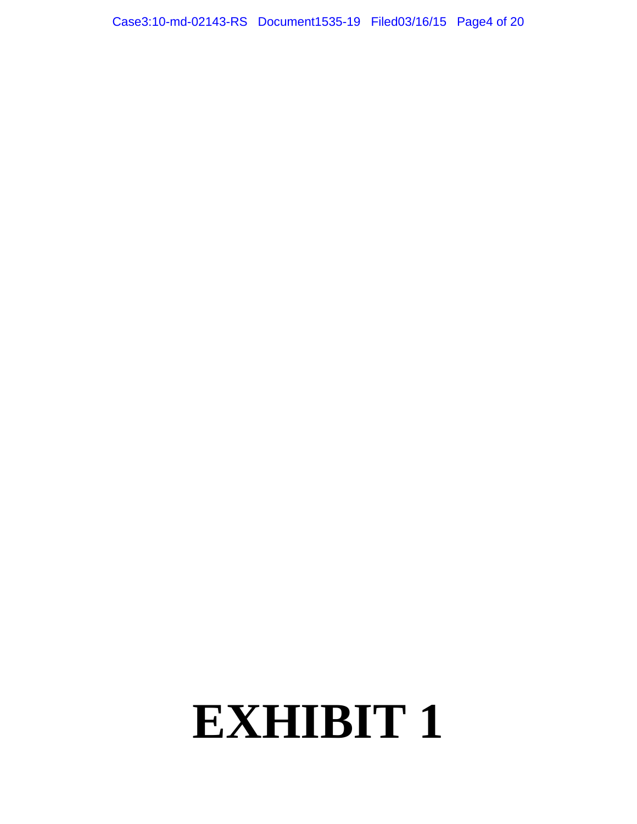Case3:10-md-02143-RS Document1535-19 Filed03/16/15 Page4 of 20

### **EXHIBIT 1**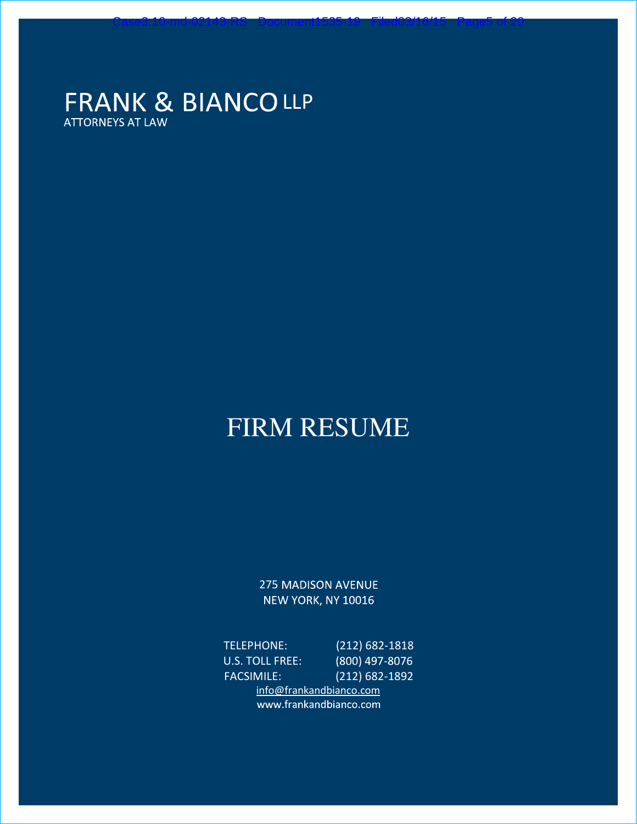### FRANK & BIANCOLLP **ATTORNEYS AT LAW**

### FIRM RESUME

Case3:10-md-02143-RS Document1535-19 Filed03/16/15 Page5 of 20

**275 MADISON AVENUE** NEW YORK, NY 10016

TELEPHONE: (212) 682-1818 U.S. TOLL FREE: (800) 497-8076 FACSIMILE: (212) 682-1892 info@frankandbianco.com www.frankandbianco.com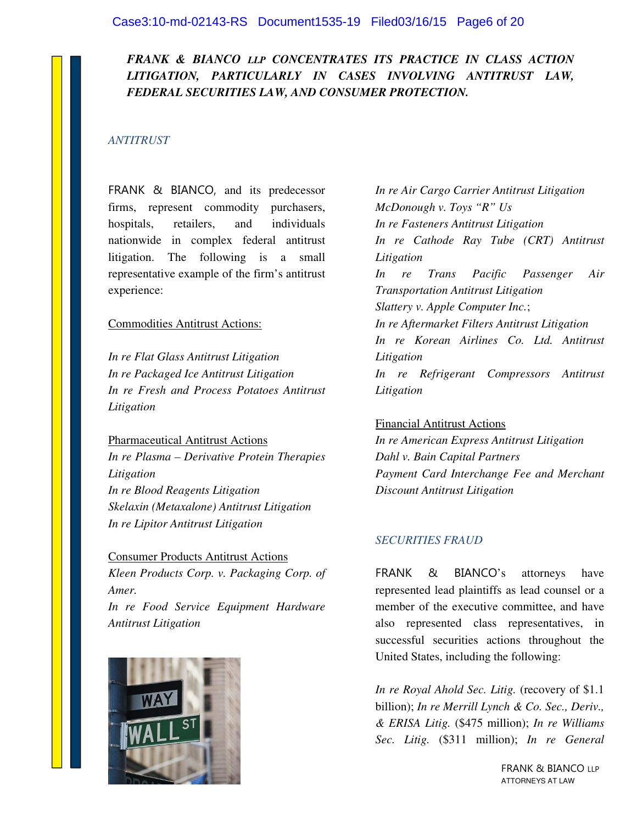#### *FRANK & BIANCO LLP CONCENTRATES ITS PRACTICE IN CLASS ACTION LITIGATION, PARTICULARLY IN CASES INVOLVING ANTITRUST LAW, FEDERAL SECURITIES LAW, AND CONSUMER PROTECTION.*

#### *ANTITRUST*

FRANK & BIANCO, and its predecessor firms, represent commodity purchasers, hospitals, retailers, and individuals nationwide in complex federal antitrust litigation. The following is a small representative example of the firm's antitrust experience:

#### Commodities Antitrust Actions:

*In re Flat Glass Antitrust Litigation In re Packaged Ice Antitrust Litigation In re Fresh and Process Potatoes Antitrust Litigation* 

Pharmaceutical Antitrust Actions

*In re Plasma – Derivative Protein Therapies Litigation In re Blood Reagents Litigation Skelaxin (Metaxalone) Antitrust Litigation In re Lipitor Antitrust Litigation*

#### Consumer Products Antitrust Actions

*Kleen Products Corp. v. Packaging Corp. of Amer. In re Food Service Equipment Hardware* 



*Antitrust Litigation*

*In re Air Cargo Carrier Antitrust Litigation McDonough v. Toys "R" Us In re Fasteners Antitrust Litigation In re Cathode Ray Tube (CRT) Antitrust Litigation In re Trans Pacific Passenger Air Transportation Antitrust Litigation Slattery v. Apple Computer Inc.*; *In re Aftermarket Filters Antitrust Litigation In re Korean Airlines Co. Ltd. Antitrust Litigation In re Refrigerant Compressors Antitrust Litigation*

#### Financial Antitrust Actions

*In re American Express Antitrust Litigation Dahl v. Bain Capital Partners Payment Card Interchange Fee and Merchant Discount Antitrust Litigation*

#### *SECURITIES FRAUD*

FRANK & BIANCO's attorneys have represented lead plaintiffs as lead counsel or a member of the executive committee, and have also represented class representatives, in successful securities actions throughout the United States, including the following:

*In re Royal Ahold Sec. Litig.* (recovery of \$1.1 billion); *In re Merrill Lynch & Co. Sec., Deriv., & ERISA Litig.* (\$475 million); *In re Williams Sec. Litig.* (\$311 million); *In re General* 

> FRANK & BIANCO LLP ATTORNEYS AT LAW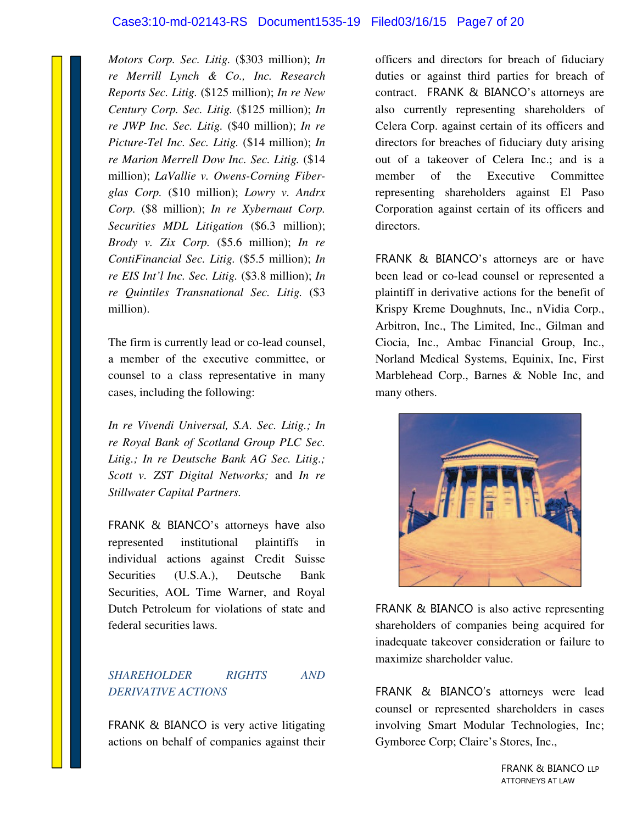#### Case3:10-md-02143-RS Document1535-19 Filed03/16/15 Page7 of 20

*Motors Corp. Sec. Litig.* (\$303 million); *In re Merrill Lynch & Co., Inc. Research Reports Sec. Litig.* (\$125 million); *In re New Century Corp. Sec. Litig.* (\$125 million); *In re JWP Inc. Sec. Litig.* (\$40 million); *In re Picture-Tel Inc. Sec. Litig.* (\$14 million); *In re Marion Merrell Dow Inc. Sec. Litig.* (\$14 million); *LaVallie v. Owens-Corning Fiberglas Corp.* (\$10 million); *Lowry v. Andrx Corp.* (\$8 million); *In re Xybernaut Corp. Securities MDL Litigation* (\$6.3 million); *Brody v. Zix Corp.* (\$5.6 million); *In re ContiFinancial Sec. Litig.* (\$5.5 million); *In re EIS Int'l Inc. Sec. Litig.* (\$3.8 million); *In re Quintiles Transnational Sec. Litig.* (\$3 million).

The firm is currently lead or co-lead counsel, a member of the executive committee, or counsel to a class representative in many cases, including the following:

*In re Vivendi Universal, S.A. Sec. Litig.; In re Royal Bank of Scotland Group PLC Sec. Litig.; In re Deutsche Bank AG Sec. Litig.; Scott v. ZST Digital Networks;* and *In re Stillwater Capital Partners.*

FRANK & BIANCO's attorneys have also represented institutional plaintiffs in individual actions against Credit Suisse Securities (U.S.A.), Deutsche Bank Securities, AOL Time Warner, and Royal Dutch Petroleum for violations of state and federal securities laws.

#### *SHAREHOLDER RIGHTS AND DERIVATIVE ACTIONS*

FRANK & BIANCO is very active litigating actions on behalf of companies against their officers and directors for breach of fiduciary duties or against third parties for breach of contract. FRANK & BIANCO's attorneys are also currently representing shareholders of Celera Corp. against certain of its officers and directors for breaches of fiduciary duty arising out of a takeover of Celera Inc.; and is a member of the Executive Committee representing shareholders against El Paso Corporation against certain of its officers and directors.

FRANK & BIANCO's attorneys are or have been lead or co-lead counsel or represented a plaintiff in derivative actions for the benefit of Krispy Kreme Doughnuts, Inc., nVidia Corp., Arbitron, Inc., The Limited, Inc., Gilman and Ciocia, Inc., Ambac Financial Group, Inc., Norland Medical Systems, Equinix, Inc, First Marblehead Corp., Barnes & Noble Inc, and many others.



FRANK & BIANCO is also active representing shareholders of companies being acquired for inadequate takeover consideration or failure to maximize shareholder value.

FRANK & BIANCO's attorneys were lead counsel or represented shareholders in cases involving Smart Modular Technologies, Inc; Gymboree Corp; Claire's Stores, Inc.,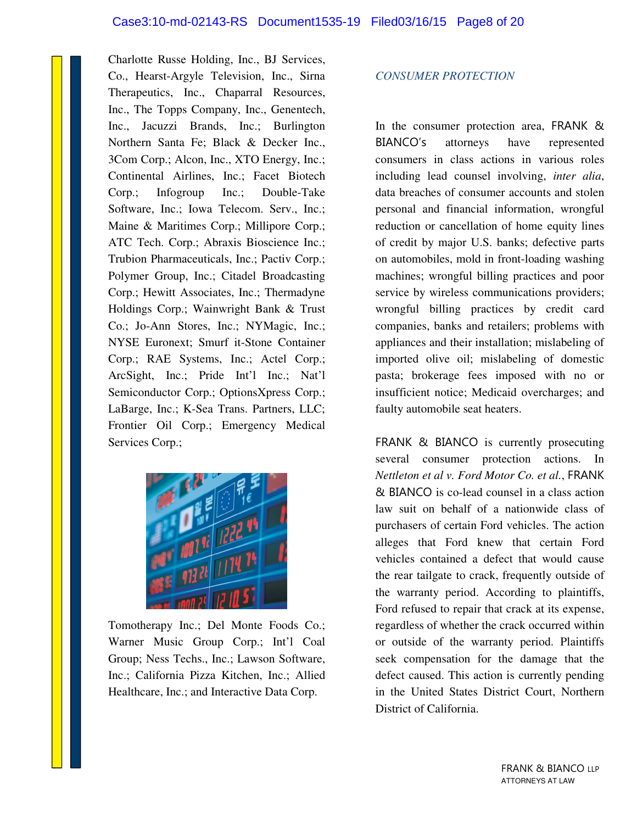Charlotte Russe Holding, Inc., BJ Services, Co., Hearst-Argyle Television, Inc., Sirna Therapeutics, Inc., Chaparral Resources, Inc., The Topps Company, Inc., Genentech, Inc., Jacuzzi Brands, Inc.; Burlington Northern Santa Fe; Black & Decker Inc., 3Com Corp.; Alcon, Inc., XTO Energy, Inc.; Continental Airlines, Inc.; Facet Biotech Corp.; Infogroup Inc.; Double-Take Software, Inc.; Iowa Telecom. Serv., Inc.; Maine & Maritimes Corp.; Millipore Corp.; ATC Tech. Corp.; Abraxis Bioscience Inc.; Trubion Pharmaceuticals, Inc.; Pactiv Corp.; Polymer Group, Inc.; Citadel Broadcasting Corp.; Hewitt Associates, Inc.; Thermadyne Holdings Corp.; Wainwright Bank & Trust Co.; Jo-Ann Stores, Inc.; NYMagic, Inc.; NYSE Euronext; Smurf it-Stone Container Corp.; RAE Systems, Inc.; Actel Corp.; ArcSight, Inc.; Pride Int'l Inc.; Nat'l Semiconductor Corp.; OptionsXpress Corp.; LaBarge, Inc.; K-Sea Trans. Partners, LLC; Frontier Oil Corp.; Emergency Medical Services Corp.;



Tomotherapy Inc.; Del Monte Foods Co.; Warner Music Group Corp.; Int'l Coal Group; Ness Techs., Inc.; Lawson Software, Inc.; California Pizza Kitchen, Inc.; Allied Healthcare, Inc.; and Interactive Data Corp.

#### *CONSUMER PROTECTION*

In the consumer protection area, FRANK & BIANCO's attorneys have represented consumers in class actions in various roles including lead counsel involving, *inter alia*, data breaches of consumer accounts and stolen personal and financial information, wrongful reduction or cancellation of home equity lines of credit by major U.S. banks; defective parts on automobiles, mold in front-loading washing machines; wrongful billing practices and poor service by wireless communications providers; wrongful billing practices by credit card companies, banks and retailers; problems with appliances and their installation; mislabeling of imported olive oil; mislabeling of domestic pasta; brokerage fees imposed with no or insufficient notice; Medicaid overcharges; and faulty automobile seat heaters.

FRANK & BIANCO is currently prosecuting several consumer protection actions. In *Nettleton et al v. Ford Motor Co. et al.*, FRANK & BIANCO is co-lead counsel in a class action law suit on behalf of a nationwide class of purchasers of certain Ford vehicles. The action alleges that Ford knew that certain Ford vehicles contained a defect that would cause the rear tailgate to crack, frequently outside of the warranty period. According to plaintiffs, Ford refused to repair that crack at its expense, regardless of whether the crack occurred within or outside of the warranty period. Plaintiffs seek compensation for the damage that the defect caused. This action is currently pending in the United States District Court, Northern District of California.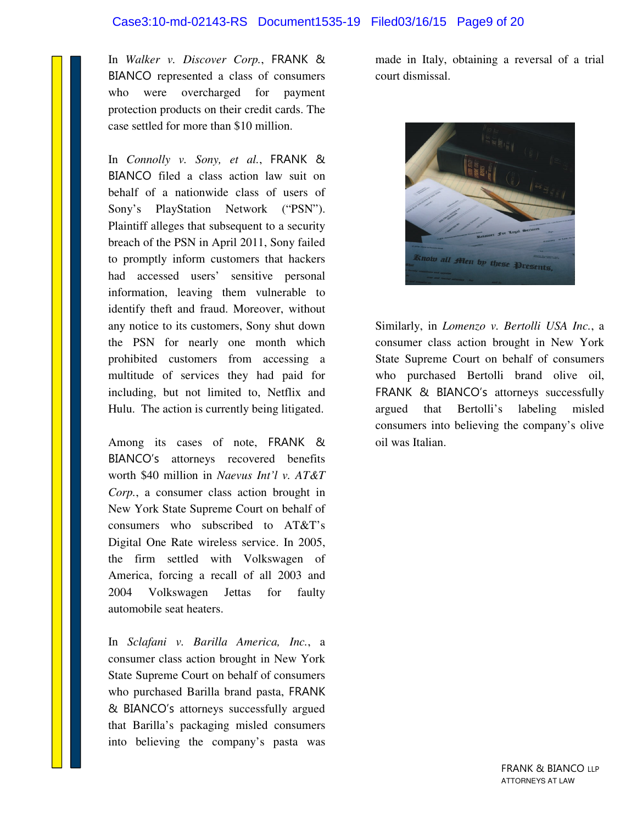#### Case3:10-md-02143-RS Document1535-19 Filed03/16/15 Page9 of 20

In *Walker v. Discover Corp.*, FRANK & BIANCO represented a class of consumers who were overcharged for payment protection products on their credit cards. The case settled for more than \$10 million.

In *Connolly v. Sony, et al.*, FRANK & BIANCO filed a class action law suit on behalf of a nationwide class of users of Sony's PlayStation Network ("PSN"). Plaintiff alleges that subsequent to a security breach of the PSN in April 2011, Sony failed to promptly inform customers that hackers had accessed users' sensitive personal information, leaving them vulnerable to identify theft and fraud. Moreover, without any notice to its customers, Sony shut down the PSN for nearly one month which prohibited customers from accessing a multitude of services they had paid for including, but not limited to, Netflix and Hulu. The action is currently being litigated.

Among its cases of note, FRANK & BIANCO's attorneys recovered benefits worth \$40 million in *Naevus Int'l v. AT&T Corp.*, a consumer class action brought in New York State Supreme Court on behalf of consumers who subscribed to AT&T's Digital One Rate wireless service. In 2005, the firm settled with Volkswagen of America, forcing a recall of all 2003 and 2004 Volkswagen Jettas for faulty automobile seat heaters.

In *Sclafani v. Barilla America, Inc.*, a consumer class action brought in New York State Supreme Court on behalf of consumers who purchased Barilla brand pasta, FRANK & BIANCO's attorneys successfully argued that Barilla's packaging misled consumers into believing the company's pasta was made in Italy, obtaining a reversal of a trial court dismissal.



Similarly, in *Lomenzo v. Bertolli USA Inc.*, a consumer class action brought in New York State Supreme Court on behalf of consumers who purchased Bertolli brand olive oil, FRANK & BIANCO's attorneys successfully argued that Bertolli's labeling misled consumers into believing the company's olive oil was Italian.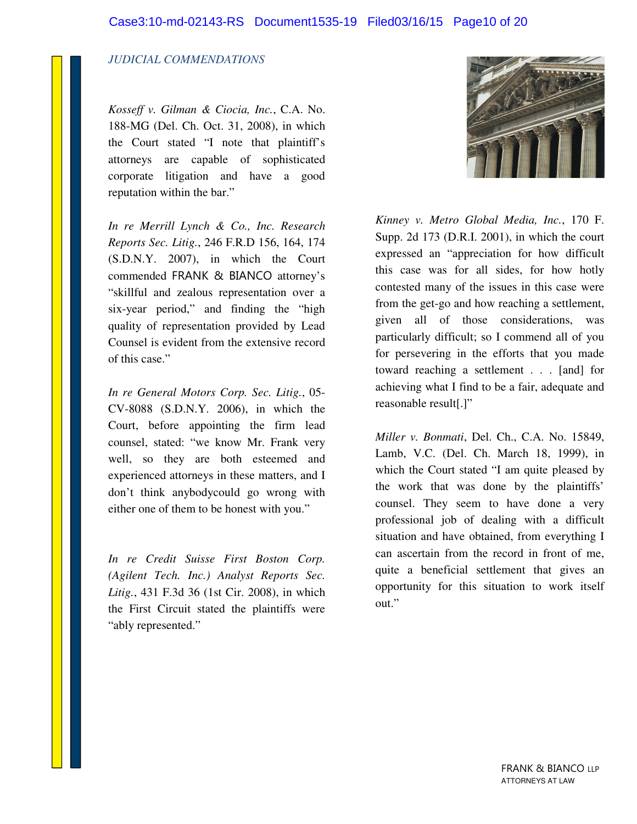#### *JUDICIAL COMMENDATIONS*

*Kosseff v. Gilman & Ciocia, Inc.*, C.A. No. 188-MG (Del. Ch. Oct. 31, 2008), in which the Court stated "I note that plaintiff's attorneys are capable of sophisticated corporate litigation and have a good reputation within the bar."

*In re Merrill Lynch & Co., Inc. Research Reports Sec. Litig.*, 246 F.R.D 156, 164, 174 (S.D.N.Y. 2007), in which the Court commended FRANK & BIANCO attorney's "skillful and zealous representation over a six-year period," and finding the "high quality of representation provided by Lead Counsel is evident from the extensive record of this case."

*In re General Motors Corp. Sec. Litig.*, 05- CV-8088 (S.D.N.Y. 2006), in which the Court, before appointing the firm lead counsel, stated: "we know Mr. Frank very well, so they are both esteemed and experienced attorneys in these matters, and I don't think anybodycould go wrong with either one of them to be honest with you."

*In re Credit Suisse First Boston Corp. (Agilent Tech. Inc.) Analyst Reports Sec. Litig.*, 431 F.3d 36 (1st Cir. 2008), in which the First Circuit stated the plaintiffs were "ably represented."



*Kinney v. Metro Global Media, Inc.*, 170 F. Supp. 2d 173 (D.R.I. 2001), in which the court expressed an "appreciation for how difficult this case was for all sides, for how hotly contested many of the issues in this case were from the get-go and how reaching a settlement, given all of those considerations, was particularly difficult; so I commend all of you for persevering in the efforts that you made toward reaching a settlement . . . [and] for achieving what I find to be a fair, adequate and reasonable result[.]"

*Miller v. Bonmati*, Del. Ch., C.A. No. 15849, Lamb, V.C. (Del. Ch. March 18, 1999), in which the Court stated "I am quite pleased by the work that was done by the plaintiffs' counsel. They seem to have done a very professional job of dealing with a difficult situation and have obtained, from everything I can ascertain from the record in front of me, quite a beneficial settlement that gives an opportunity for this situation to work itself out."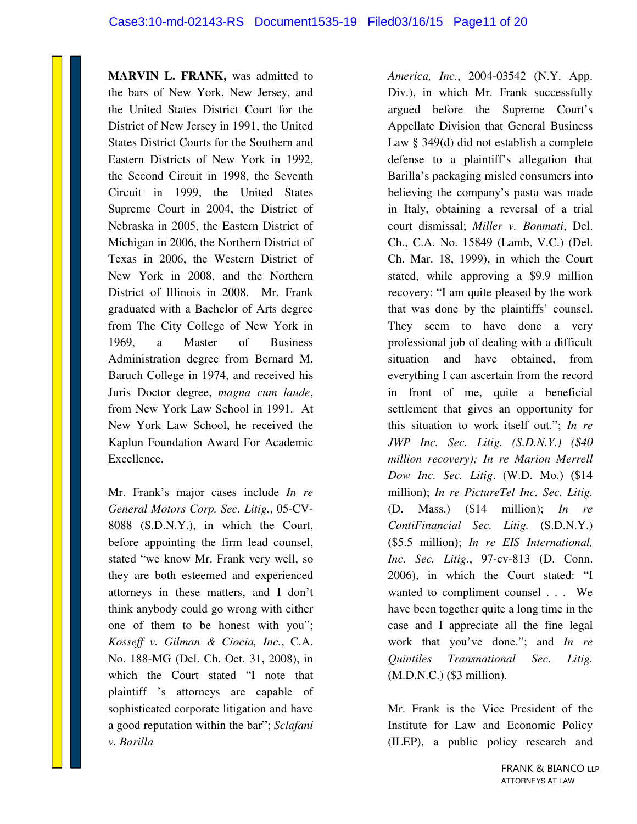**MARVIN L. FRANK,** was admitted to the bars of New York, New Jersey, and the United States District Court for the District of New Jersey in 1991, the United States District Courts for the Southern and Eastern Districts of New York in 1992, the Second Circuit in 1998, the Seventh Circuit in 1999, the United States Supreme Court in 2004, the District of Nebraska in 2005, the Eastern District of Michigan in 2006, the Northern District of Texas in 2006, the Western District of New York in 2008, and the Northern District of Illinois in 2008. Mr. Frank graduated with a Bachelor of Arts degree from The City College of New York in 1969, a Master of Business Administration degree from Bernard M. Baruch College in 1974, and received his Juris Doctor degree, *magna cum laude*, from New York Law School in 1991. At New York Law School, he received the Kaplun Foundation Award For Academic Excellence.

Mr. Frank's major cases include *In re General Motors Corp. Sec. Litig.*, 05-CV-8088 (S.D.N.Y.), in which the Court, before appointing the firm lead counsel, stated "we know Mr. Frank very well, so they are both esteemed and experienced attorneys in these matters, and I don't think anybody could go wrong with either one of them to be honest with you"; *Kosseff v. Gilman & Ciocia, Inc.*, C.A. No. 188-MG (Del. Ch. Oct. 31, 2008), in which the Court stated "I note that plaintiff 's attorneys are capable of sophisticated corporate litigation and have a good reputation within the bar"; *Sclafani v. Barilla*

*America, Inc.*, 2004-03542 (N.Y. App. Div.), in which Mr. Frank successfully argued before the Supreme Court's Appellate Division that General Business Law § 349(d) did not establish a complete defense to a plaintiff's allegation that Barilla's packaging misled consumers into believing the company's pasta was made in Italy, obtaining a reversal of a trial court dismissal; *Miller v. Bonmati*, Del. Ch., C.A. No. 15849 (Lamb, V.C.) (Del. Ch. Mar. 18, 1999), in which the Court stated, while approving a \$9.9 million recovery: "I am quite pleased by the work that was done by the plaintiffs' counsel. They seem to have done a very professional job of dealing with a difficult situation and have obtained, from everything I can ascertain from the record in front of me, quite a beneficial settlement that gives an opportunity for this situation to work itself out."; *In re JWP Inc. Sec. Litig. (S.D.N.Y.) (\$40 million recovery); In re Marion Merrell Dow Inc. Sec. Litig*. (W.D. Mo.) (\$14 million); *In re PictureTel Inc. Sec. Litig.*  (D. Mass.) (\$14 million); *In re ContiFinancial Sec. Litig.* (S.D.N.Y.) (\$5.5 million); *In re EIS International, Inc. Sec. Litig.*, 97-cv-813 (D. Conn. 2006), in which the Court stated: "I wanted to compliment counsel . . . We have been together quite a long time in the case and I appreciate all the fine legal work that you've done."; and *In re Quintiles Transnational Sec. Litig.*  (M.D.N.C.) (\$3 million).

Mr. Frank is the Vice President of the Institute for Law and Economic Policy (ILEP), a public policy research and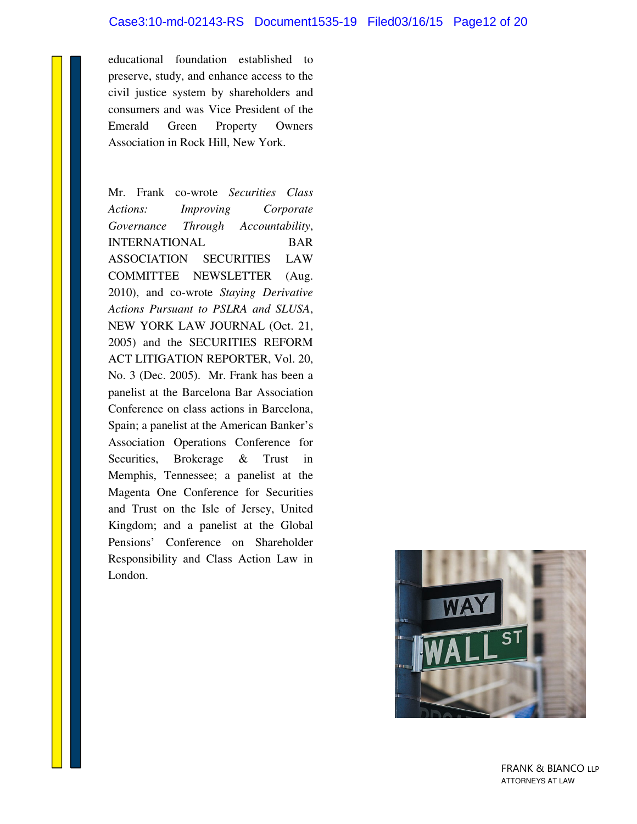#### Case3:10-md-02143-RS Document1535-19 Filed03/16/15 Page12 of 20

educational foundation established to preserve, study, and enhance access to the civil justice system by shareholders and consumers and was Vice President of the Emerald Green Property Owners Association in Rock Hill, New York.

Mr. Frank co-wrote *Securities Class Actions: Improving Corporate Governance Through Accountability*, INTERNATIONAL BAR ASSOCIATION SECURITIES LAW COMMITTEE NEWSLETTER (Aug. 2010), and co-wrote *Staying Derivative Actions Pursuant to PSLRA and SLUSA*, NEW YORK LAW JOURNAL (Oct. 21, 2005) and the SECURITIES REFORM ACT LITIGATION REPORTER, Vol. 20, No. 3 (Dec. 2005). Mr. Frank has been a panelist at the Barcelona Bar Association Conference on class actions in Barcelona, Spain; a panelist at the American Banker's Association Operations Conference for Securities, Brokerage & Trust in Memphis, Tennessee; a panelist at the Magenta One Conference for Securities and Trust on the Isle of Jersey, United Kingdom; and a panelist at the Global Pensions' Conference on Shareholder Responsibility and Class Action Law in London.



 FRANK & BIANCO LLP ATTORNEYS AT LAW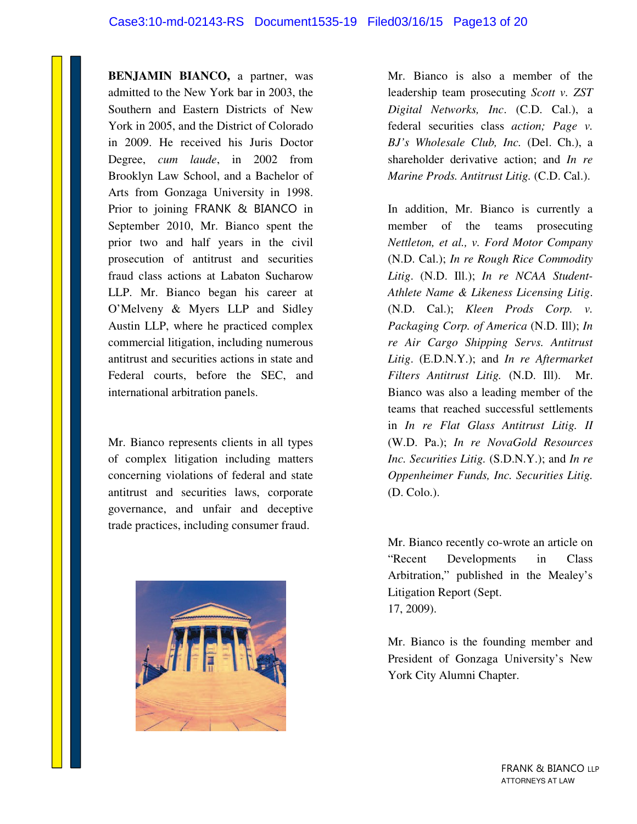**BENJAMIN BIANCO,** a partner, was admitted to the New York bar in 2003, the Southern and Eastern Districts of New York in 2005, and the District of Colorado in 2009. He received his Juris Doctor Degree, *cum laude*, in 2002 from Brooklyn Law School, and a Bachelor of Arts from Gonzaga University in 1998. Prior to joining FRANK & BIANCO in September 2010, Mr. Bianco spent the prior two and half years in the civil prosecution of antitrust and securities fraud class actions at Labaton Sucharow LLP. Mr. Bianco began his career at O'Melveny & Myers LLP and Sidley Austin LLP, where he practiced complex commercial litigation, including numerous antitrust and securities actions in state and Federal courts, before the SEC, and international arbitration panels.

Mr. Bianco represents clients in all types of complex litigation including matters concerning violations of federal and state antitrust and securities laws, corporate governance, and unfair and deceptive trade practices, including consumer fraud.



Mr. Bianco is also a member of the leadership team prosecuting *Scott v. ZST Digital Networks, Inc*. (C.D. Cal.), a federal securities class *action; Page v. BJ's Wholesale Club, Inc.* (Del. Ch.), a shareholder derivative action; and *In re Marine Prods. Antitrust Litig.* (C.D. Cal.).

In addition, Mr. Bianco is currently a member of the teams prosecuting *Nettleton, et al., v. Ford Motor Company*  (N.D. Cal.); *In re Rough Rice Commodity Litig*. (N.D. Ill.); *In re NCAA Student-Athlete Name & Likeness Licensing Litig*. (N.D. Cal.); *Kleen Prods Corp. v. Packaging Corp. of America* (N.D. Ill); *In re Air Cargo Shipping Servs. Antitrust Litig*. (E.D.N.Y.); and *In re Aftermarket Filters Antitrust Litig.* (N.D. Ill). Mr. Bianco was also a leading member of the teams that reached successful settlements in *In re Flat Glass Antitrust Litig. II*  (W.D. Pa.); *In re NovaGold Resources Inc. Securities Litig.* (S.D.N.Y.); and *In re Oppenheimer Funds, Inc. Securities Litig.*  (D. Colo.).

Mr. Bianco recently co-wrote an article on "Recent Developments in Class Arbitration," published in the Mealey's Litigation Report (Sept. 17, 2009).

Mr. Bianco is the founding member and President of Gonzaga University's New York City Alumni Chapter.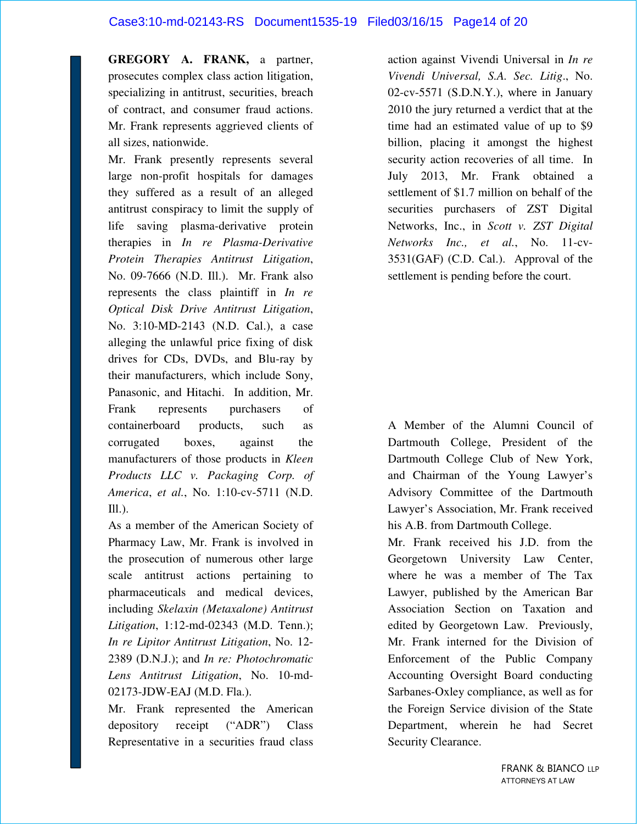#### Case3:10-md-02143-RS Document1535-19 Filed03/16/15 Page14 of 20

**GREGORY A. FRANK,** a partner, prosecutes complex class action litigation, specializing in antitrust, securities, breach of contract, and consumer fraud actions. Mr. Frank represents aggrieved clients of all sizes, nationwide.

Mr. Frank presently represents several large non-profit hospitals for damages they suffered as a result of an alleged antitrust conspiracy to limit the supply of life saving plasma-derivative protein therapies in *In re Plasma-Derivative Protein Therapies Antitrust Litigation*, No. 09-7666 (N.D. Ill.). Mr. Frank also represents the class plaintiff in *In re Optical Disk Drive Antitrust Litigation*, No. 3:10-MD-2143 (N.D. Cal.), a case alleging the unlawful price fixing of disk drives for CDs, DVDs, and Blu-ray by their manufacturers, which include Sony, Panasonic, and Hitachi. In addition, Mr. Frank represents purchasers of containerboard products, such as corrugated boxes, against the manufacturers of those products in *Kleen Products LLC v. Packaging Corp. of America*, *et al.*, No. 1:10-cv-5711 (N.D.  $III.$ ).

As a member of the American Society of Pharmacy Law, Mr. Frank is involved in the prosecution of numerous other large scale antitrust actions pertaining to pharmaceuticals and medical devices, including *Skelaxin (Metaxalone) Antitrust Litigation*, 1:12-md-02343 (M.D. Tenn.); *In re Lipitor Antitrust Litigation*, No. 12- 2389 (D.N.J.); and *In re: Photochromatic Lens Antitrust Litigation*, No. 10-md-02173-JDW-EAJ (M.D. Fla.).

Mr. Frank represented the American depository receipt ("ADR") Class Representative in a securities fraud class action against Vivendi Universal in *In re Vivendi Universal, S.A. Sec. Litig*., No. 02-cv-5571 (S.D.N.Y.), where in January 2010 the jury returned a verdict that at the time had an estimated value of up to \$9 billion, placing it amongst the highest security action recoveries of all time. In July 2013, Mr. Frank obtained a settlement of \$1.7 million on behalf of the securities purchasers of ZST Digital Networks, Inc., in *Scott v. ZST Digital Networks Inc., et al.*, No. 11-cv-3531(GAF) (C.D. Cal.). Approval of the settlement is pending before the court.

A Member of the Alumni Council of Dartmouth College, President of the Dartmouth College Club of New York, and Chairman of the Young Lawyer's Advisory Committee of the Dartmouth Lawyer's Association, Mr. Frank received his A.B. from Dartmouth College.

Mr. Frank received his J.D. from the Georgetown University Law Center, where he was a member of The Tax Lawyer, published by the American Bar Association Section on Taxation and edited by Georgetown Law. Previously, Mr. Frank interned for the Division of Enforcement of the Public Company Accounting Oversight Board conducting Sarbanes-Oxley compliance, as well as for the Foreign Service division of the State Department, wherein he had Secret Security Clearance.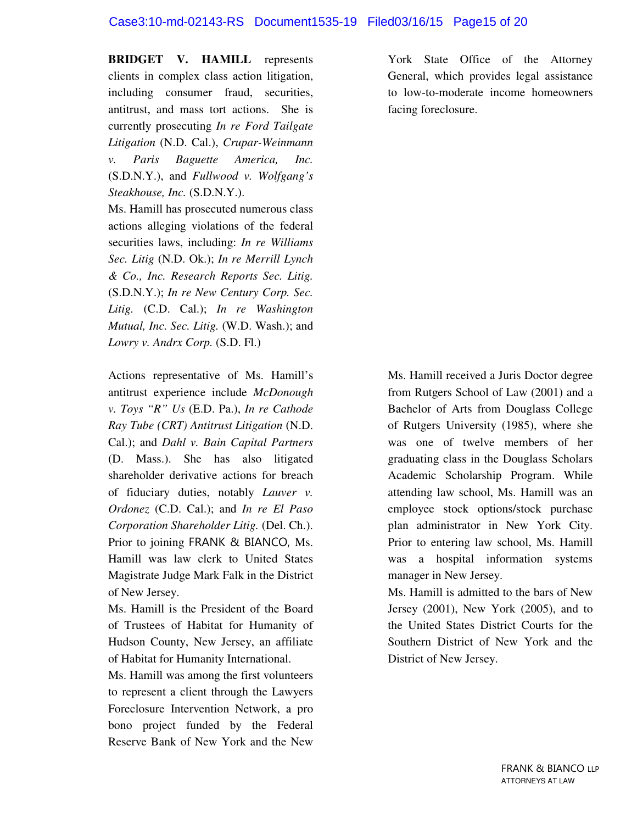#### Case3:10-md-02143-RS Document1535-19 Filed03/16/15 Page15 of 20

**BRIDGET V. HAMILL** represents clients in complex class action litigation, including consumer fraud, securities, antitrust, and mass tort actions. She is currently prosecuting *In re Ford Tailgate Litigation* (N.D. Cal.), *Crupar-Weinmann v. Paris Baguette America, Inc.* (S.D.N.Y.), and *Fullwood v. Wolfgang's Steakhouse, Inc.* (S.D.N.Y.).

Ms. Hamill has prosecuted numerous class actions alleging violations of the federal securities laws, including: *In re Williams Sec. Litig* (N.D. Ok.); *In re Merrill Lynch & Co., Inc. Research Reports Sec. Litig.*  (S.D.N.Y.); *In re New Century Corp. Sec. Litig.* (C.D. Cal.); *In re Washington Mutual, Inc. Sec. Litig.* (W.D. Wash.); and *Lowry v. Andrx Corp.* (S.D. Fl.)

Actions representative of Ms. Hamill's antitrust experience include *McDonough v. Toys "R" Us* (E.D. Pa.), *In re Cathode Ray Tube (CRT) Antitrust Litigation* (N.D. Cal.); and *Dahl v. Bain Capital Partners* (D. Mass.). She has also litigated shareholder derivative actions for breach of fiduciary duties, notably *Lauver v. Ordonez* (C.D. Cal.); and *In re El Paso Corporation Shareholder Litig.* (Del. Ch.). Prior to joining FRANK & BIANCO, Ms. Hamill was law clerk to United States Magistrate Judge Mark Falk in the District of New Jersey.

Ms. Hamill is the President of the Board of Trustees of Habitat for Humanity of Hudson County, New Jersey, an affiliate of Habitat for Humanity International.

Ms. Hamill was among the first volunteers to represent a client through the Lawyers Foreclosure Intervention Network, a pro bono project funded by the Federal Reserve Bank of New York and the New

York State Office of the Attorney General, which provides legal assistance to low-to-moderate income homeowners facing foreclosure.

Ms. Hamill received a Juris Doctor degree from Rutgers School of Law (2001) and a Bachelor of Arts from Douglass College of Rutgers University (1985), where she was one of twelve members of her graduating class in the Douglass Scholars Academic Scholarship Program. While attending law school, Ms. Hamill was an employee stock options/stock purchase plan administrator in New York City. Prior to entering law school, Ms. Hamill was a hospital information systems manager in New Jersey.

Ms. Hamill is admitted to the bars of New Jersey (2001), New York (2005), and to the United States District Courts for the Southern District of New York and the District of New Jersey.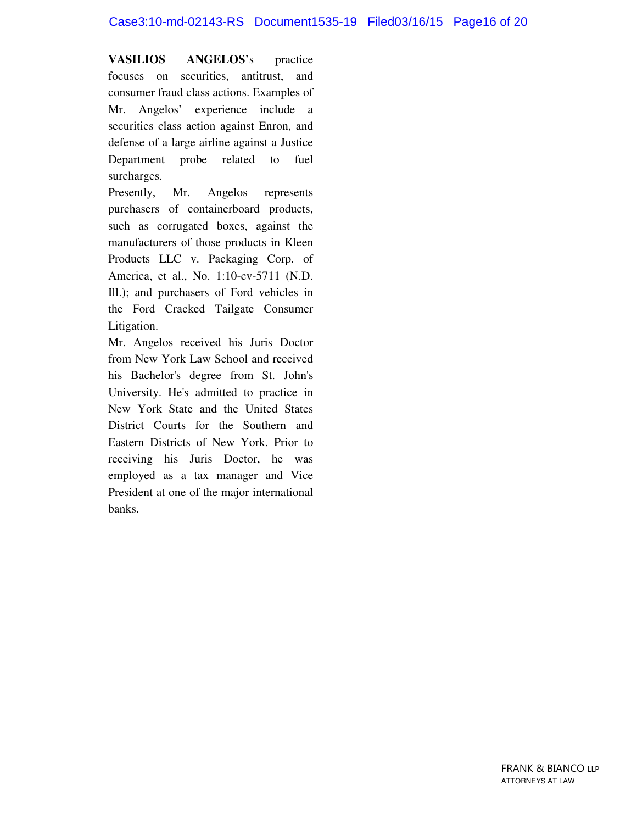#### Case3:10-md-02143-RS Document1535-19 Filed03/16/15 Page16 of 20

**VASILIOS ANGELOS**'s practice focuses on securities, antitrust, and consumer fraud class actions. Examples of Mr. Angelos' experience include a securities class action against Enron, and defense of a large airline against a Justice Department probe related to fuel surcharges.

Presently, Mr. Angelos represents purchasers of containerboard products, such as corrugated boxes, against the manufacturers of those products in Kleen Products LLC v. Packaging Corp. of America, et al., No. 1:10-cv-5711 (N.D. Ill.); and purchasers of Ford vehicles in the Ford Cracked Tailgate Consumer Litigation.

Mr. Angelos received his Juris Doctor from New York Law School and received his Bachelor's degree from St. John's University. He's admitted to practice in New York State and the United States District Courts for the Southern and Eastern Districts of New York. Prior to receiving his Juris Doctor, he was employed as a tax manager and Vice President at one of the major international banks.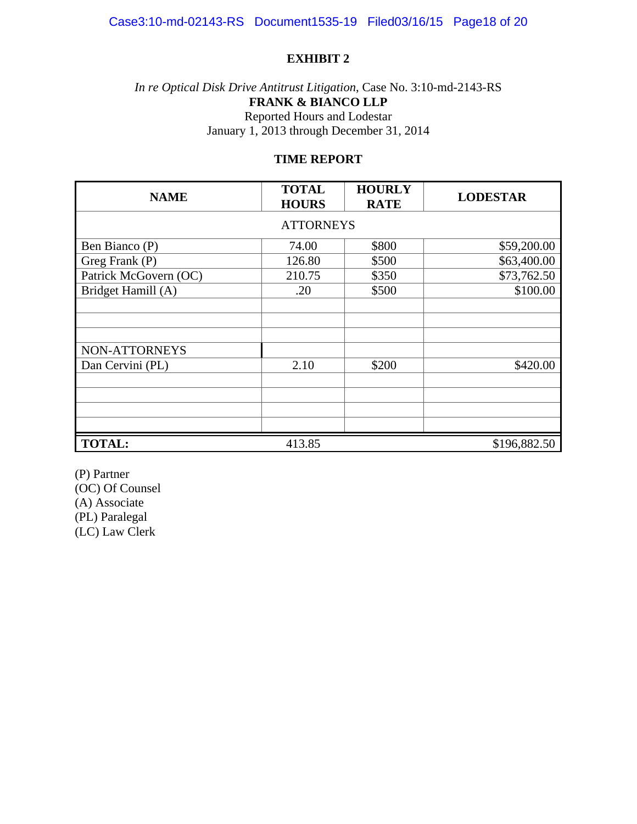#### *In re Optical Disk Drive Antitrust Litigation*, Case No. 3:10-md-2143-RS **FRANK & BIANCO LLP**  Reported Hours and Lodestar January 1, 2013 through December 31, 2014

#### **TIME REPORT**

| <b>NAME</b>           | <b>TOTAL</b><br><b>HOURS</b> | <b>HOURLY</b><br><b>RATE</b> | <b>LODESTAR</b> |  |  |
|-----------------------|------------------------------|------------------------------|-----------------|--|--|
| <b>ATTORNEYS</b>      |                              |                              |                 |  |  |
| Ben Bianco (P)        | 74.00                        | \$800                        | \$59,200.00     |  |  |
| Greg Frank (P)        | 126.80                       | \$500                        | \$63,400.00     |  |  |
| Patrick McGovern (OC) | 210.75                       | \$350                        | \$73,762.50     |  |  |
| Bridget Hamill (A)    | .20                          | \$500                        | \$100.00        |  |  |
|                       |                              |                              |                 |  |  |
| NON-ATTORNEYS         |                              |                              |                 |  |  |
| Dan Cervini (PL)      | 2.10                         | \$200                        | \$420.00        |  |  |
|                       |                              |                              |                 |  |  |
|                       |                              |                              |                 |  |  |
|                       |                              |                              |                 |  |  |
| <b>TOTAL:</b>         | 413.85                       |                              | \$196,882.50    |  |  |

(P) Partner (OC) Of Counsel (A) Associate (PL) Paralegal (LC) Law Clerk